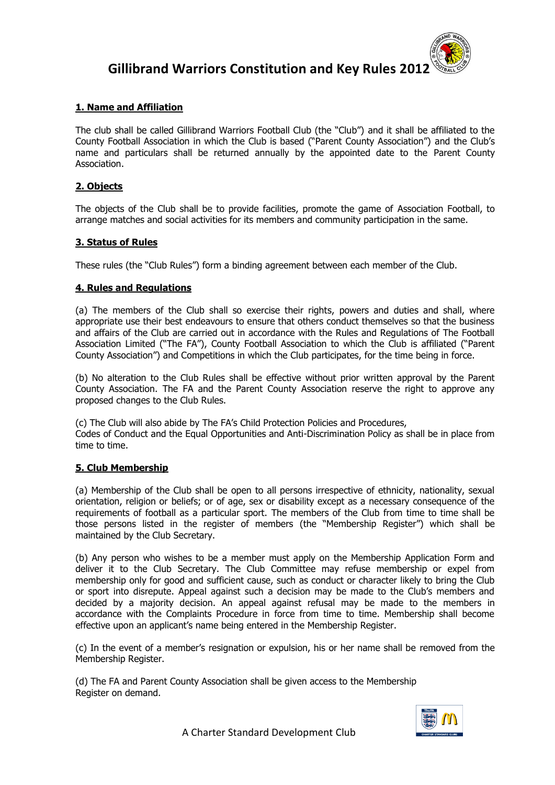

## **1. Name and Affiliation**

The club shall be called Gillibrand Warriors Football Club (the "Club") and it shall be affiliated to the County Football Association in which the Club is based ("Parent County Association") and the Club's name and particulars shall be returned annually by the appointed date to the Parent County Association.

## **2. Objects**

The objects of the Club shall be to provide facilities, promote the game of Association Football, to arrange matches and social activities for its members and community participation in the same.

### **3. Status of Rules**

These rules (the "Club Rules") form a binding agreement between each member of the Club.

### **4. Rules and Regulations**

(a) The members of the Club shall so exercise their rights, powers and duties and shall, where appropriate use their best endeavours to ensure that others conduct themselves so that the business and affairs of the Club are carried out in accordance with the Rules and Regulations of The Football Association Limited ("The FA"), County Football Association to which the Club is affiliated ("Parent County Association") and Competitions in which the Club participates, for the time being in force.

(b) No alteration to the Club Rules shall be effective without prior written approval by the Parent County Association. The FA and the Parent County Association reserve the right to approve any proposed changes to the Club Rules.

(c) The Club will also abide by The FA's Child Protection Policies and Procedures, Codes of Conduct and the Equal Opportunities and Anti-Discrimination Policy as shall be in place from time to time.

### **5. Club Membership**

(a) Membership of the Club shall be open to all persons irrespective of ethnicity, nationality, sexual orientation, religion or beliefs; or of age, sex or disability except as a necessary consequence of the requirements of football as a particular sport. The members of the Club from time to time shall be those persons listed in the register of members (the "Membership Register") which shall be maintained by the Club Secretary.

(b) Any person who wishes to be a member must apply on the Membership Application Form and deliver it to the Club Secretary. The Club Committee may refuse membership or expel from membership only for good and sufficient cause, such as conduct or character likely to bring the Club or sport into disrepute. Appeal against such a decision may be made to the Club's members and decided by a majority decision. An appeal against refusal may be made to the members in accordance with the Complaints Procedure in force from time to time. Membership shall become effective upon an applicant's name being entered in the Membership Register.

(c) In the event of a member's resignation or expulsion, his or her name shall be removed from the Membership Register.

(d) The FA and Parent County Association shall be given access to the Membership Register on demand.

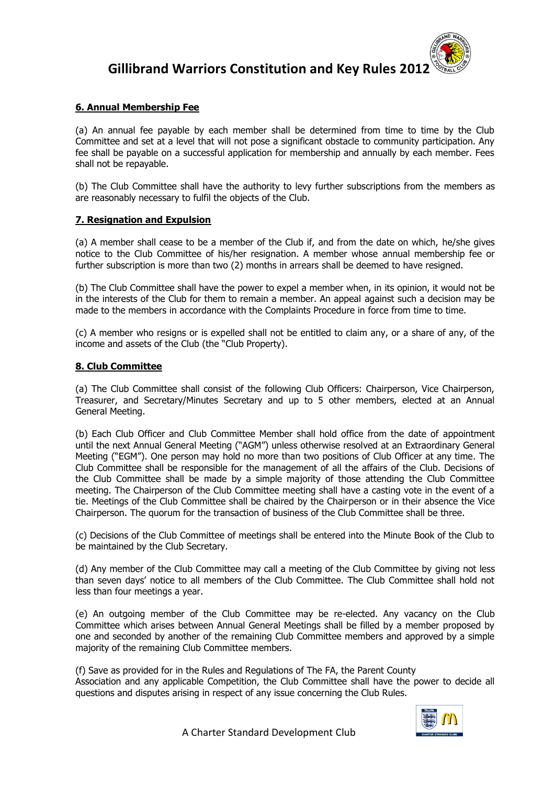

### **6. Annual Membership Fee**

(a) An annual fee payable by each member shall be determined from time to time by the Club Committee and set at a level that will not pose a significant obstacle to community participation. Any fee shall be payable on a successful application for membership and annually by each member. Fees shall not be repayable.

(b) The Club Committee shall have the authority to levy further subscriptions from the members as are reasonably necessary to fulfil the objects of the Club.

### **7. Resignation and Expulsion**

(a) A member shall cease to be a member of the Club if, and from the date on which, he/she gives notice to the Club Committee of his/her resignation. A member whose annual membership fee or further subscription is more than two (2) months in arrears shall be deemed to have resigned.

(b) The Club Committee shall have the power to expel a member when, in its opinion, it would not be in the interests of the Club for them to remain a member. An appeal against such a decision may be made to the members in accordance with the Complaints Procedure in force from time to time.

(c) A member who resigns or is expelled shall not be entitled to claim any, or a share of any, of the income and assets of the Club (the "Club Property).

## **8. Club Committee**

(a) The Club Committee shall consist of the following Club Officers: Chairperson, Vice Chairperson, Treasurer, and Secretary/Minutes Secretary and up to 5 other members, elected at an Annual General Meeting.

(b) Each Club Officer and Club Committee Member shall hold office from the date of appointment until the next Annual General Meeting ("AGM") unless otherwise resolved at an Extraordinary General Meeting ("EGM"). One person may hold no more than two positions of Club Officer at any time. The Club Committee shall be responsible for the management of all the affairs of the Club. Decisions of the Club Committee shall be made by a simple majority of those attending the Club Committee meeting. The Chairperson of the Club Committee meeting shall have a casting vote in the event of a tie. Meetings of the Club Committee shall be chaired by the Chairperson or in their absence the Vice Chairperson. The quorum for the transaction of business of the Club Committee shall be three.

(c) Decisions of the Club Committee of meetings shall be entered into the Minute Book of the Club to be maintained by the Club Secretary.

(d) Any member of the Club Committee may call a meeting of the Club Committee by giving not less than seven days' notice to all members of the Club Committee. The Club Committee shall hold not less than four meetings a year.

(e) An outgoing member of the Club Committee may be re-elected. Any vacancy on the Club Committee which arises between Annual General Meetings shall be filled by a member proposed by one and seconded by another of the remaining Club Committee members and approved by a simple majority of the remaining Club Committee members.

(f) Save as provided for in the Rules and Regulations of The FA, the Parent County Association and any applicable Competition, the Club Committee shall have the power to decide all questions and disputes arising in respect of any issue concerning the Club Rules.

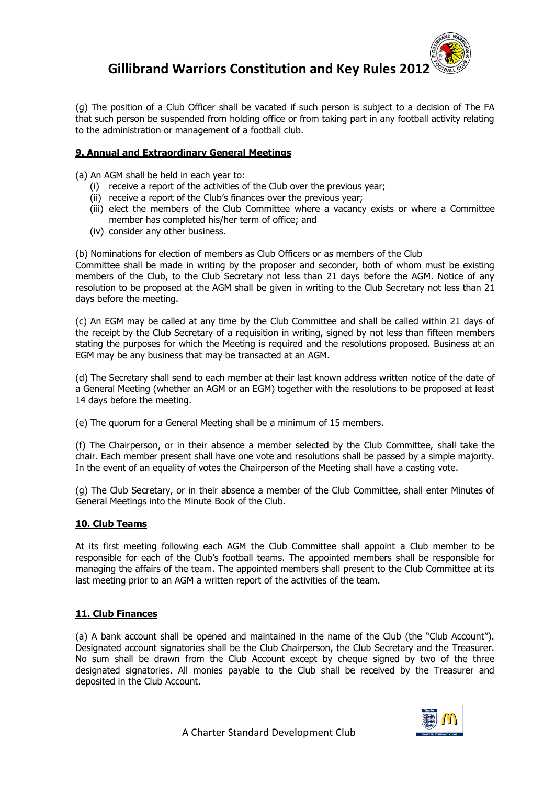

(g) The position of a Club Officer shall be vacated if such person is subject to a decision of The FA that such person be suspended from holding office or from taking part in any football activity relating to the administration or management of a football club.

## **9. Annual and Extraordinary General Meetings**

(a) An AGM shall be held in each year to:

- (i) receive a report of the activities of the Club over the previous year;
- (ii) receive a report of the Club's finances over the previous year;
- (iii) elect the members of the Club Committee where a vacancy exists or where a Committee member has completed his/her term of office; and
- (iv) consider any other business.

(b) Nominations for election of members as Club Officers or as members of the Club Committee shall be made in writing by the proposer and seconder, both of whom must be existing members of the Club, to the Club Secretary not less than 21 days before the AGM. Notice of any resolution to be proposed at the AGM shall be given in writing to the Club Secretary not less than 21 days before the meeting.

(c) An EGM may be called at any time by the Club Committee and shall be called within 21 days of the receipt by the Club Secretary of a requisition in writing, signed by not less than fifteen members stating the purposes for which the Meeting is required and the resolutions proposed. Business at an EGM may be any business that may be transacted at an AGM.

(d) The Secretary shall send to each member at their last known address written notice of the date of a General Meeting (whether an AGM or an EGM) together with the resolutions to be proposed at least 14 days before the meeting.

(e) The quorum for a General Meeting shall be a minimum of 15 members.

(f) The Chairperson, or in their absence a member selected by the Club Committee, shall take the chair. Each member present shall have one vote and resolutions shall be passed by a simple majority. In the event of an equality of votes the Chairperson of the Meeting shall have a casting vote.

(g) The Club Secretary, or in their absence a member of the Club Committee, shall enter Minutes of General Meetings into the Minute Book of the Club.

## **10. Club Teams**

At its first meeting following each AGM the Club Committee shall appoint a Club member to be responsible for each of the Club's football teams. The appointed members shall be responsible for managing the affairs of the team. The appointed members shall present to the Club Committee at its last meeting prior to an AGM a written report of the activities of the team.

## **11. Club Finances**

(a) A bank account shall be opened and maintained in the name of the Club (the "Club Account"). Designated account signatories shall be the Club Chairperson, the Club Secretary and the Treasurer. No sum shall be drawn from the Club Account except by cheque signed by two of the three designated signatories. All monies payable to the Club shall be received by the Treasurer and deposited in the Club Account.

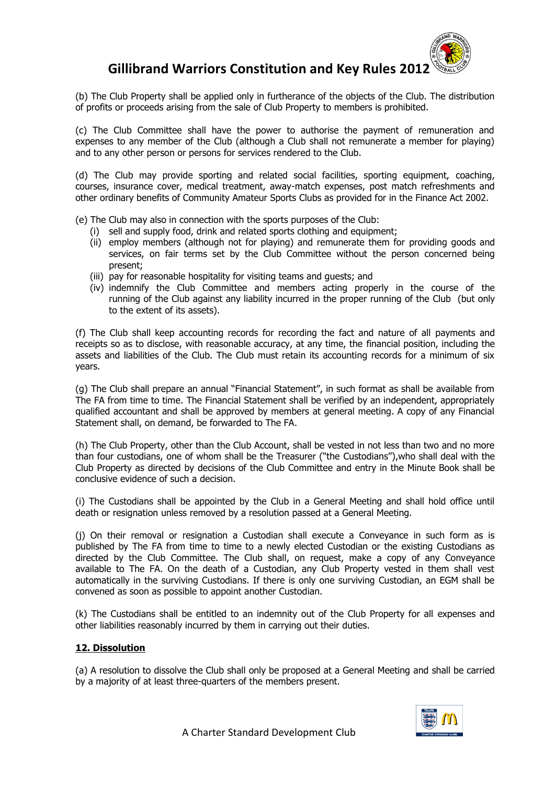

(b) The Club Property shall be applied only in furtherance of the objects of the Club. The distribution of profits or proceeds arising from the sale of Club Property to members is prohibited.

(c) The Club Committee shall have the power to authorise the payment of remuneration and expenses to any member of the Club (although a Club shall not remunerate a member for playing) and to any other person or persons for services rendered to the Club.

(d) The Club may provide sporting and related social facilities, sporting equipment, coaching, courses, insurance cover, medical treatment, away-match expenses, post match refreshments and other ordinary benefits of Community Amateur Sports Clubs as provided for in the Finance Act 2002.

- (e) The Club may also in connection with the sports purposes of the Club:
	- (i) sell and supply food, drink and related sports clothing and equipment;
	- (ii) employ members (although not for playing) and remunerate them for providing goods and services, on fair terms set by the Club Committee without the person concerned being present;
	- (iii) pay for reasonable hospitality for visiting teams and guests; and
	- (iv) indemnify the Club Committee and members acting properly in the course of the running of the Club against any liability incurred in the proper running of the Club (but only to the extent of its assets).

(f) The Club shall keep accounting records for recording the fact and nature of all payments and receipts so as to disclose, with reasonable accuracy, at any time, the financial position, including the assets and liabilities of the Club. The Club must retain its accounting records for a minimum of six years.

(g) The Club shall prepare an annual "Financial Statement", in such format as shall be available from The FA from time to time. The Financial Statement shall be verified by an independent, appropriately qualified accountant and shall be approved by members at general meeting. A copy of any Financial Statement shall, on demand, be forwarded to The FA.

(h) The Club Property, other than the Club Account, shall be vested in not less than two and no more than four custodians, one of whom shall be the Treasurer ("the Custodians"),who shall deal with the Club Property as directed by decisions of the Club Committee and entry in the Minute Book shall be conclusive evidence of such a decision.

(i) The Custodians shall be appointed by the Club in a General Meeting and shall hold office until death or resignation unless removed by a resolution passed at a General Meeting.

(j) On their removal or resignation a Custodian shall execute a Conveyance in such form as is published by The FA from time to time to a newly elected Custodian or the existing Custodians as directed by the Club Committee. The Club shall, on request, make a copy of any Conveyance available to The FA. On the death of a Custodian, any Club Property vested in them shall vest automatically in the surviving Custodians. If there is only one surviving Custodian, an EGM shall be convened as soon as possible to appoint another Custodian.

(k) The Custodians shall be entitled to an indemnity out of the Club Property for all expenses and other liabilities reasonably incurred by them in carrying out their duties.

### **12. Dissolution**

(a) A resolution to dissolve the Club shall only be proposed at a General Meeting and shall be carried by a majority of at least three-quarters of the members present.